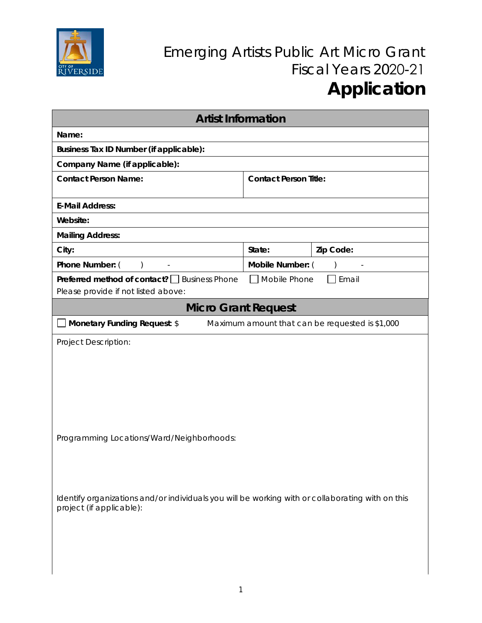

## Emerging Artists Public Art Micro Grant Fiscal Years 2020-21 **Application**

| <b>Artist Information</b>                                                                                                    |                              |           |
|------------------------------------------------------------------------------------------------------------------------------|------------------------------|-----------|
| Name:                                                                                                                        |                              |           |
| Business Tax ID Number (if applicable):                                                                                      |                              |           |
| Company Name (if applicable):                                                                                                |                              |           |
| <b>Contact Person Name:</b>                                                                                                  | <b>Contact Person Title:</b> |           |
| <b>E-Mail Address:</b>                                                                                                       |                              |           |
| Website:                                                                                                                     |                              |           |
| <b>Mailing Address:</b>                                                                                                      |                              |           |
| City:                                                                                                                        | State:                       | Zip Code: |
| Phone Number: (<br>$\lambda$                                                                                                 | Mobile Number: (             |           |
| Preferred method of contact? <u>Susiness</u> Phone<br>Mobile Phone<br>Email<br>Please provide if not listed above:           |                              |           |
| <b>Micro Grant Request</b>                                                                                                   |                              |           |
| Monetary Funding Request: \$<br>Maximum amount that can be requested is \$1,000                                              |                              |           |
| <b>Project Description:</b>                                                                                                  |                              |           |
| Programming Locations/Ward/Neighborhoods:                                                                                    |                              |           |
| Identify organizations and/or individuals you will be working with or collaborating with on this<br>project (if applicable): |                              |           |